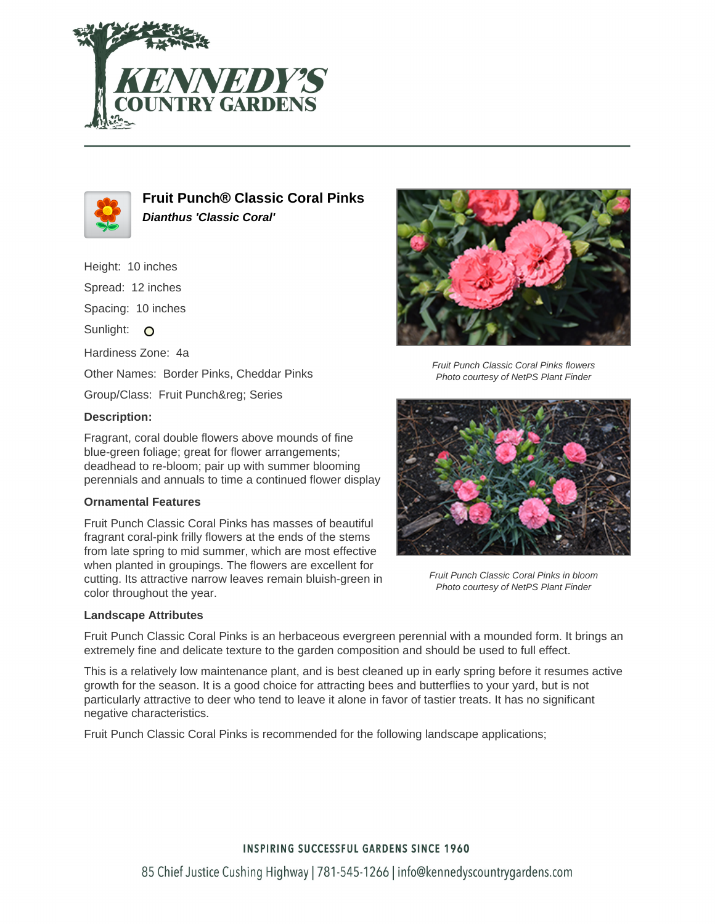



**Fruit Punch® Classic Coral Pinks Dianthus 'Classic Coral'**

Height: 10 inches Spread: 12 inches Spacing: 10 inches Sunlight: O Hardiness Zone: 4a Other Names: Border Pinks, Cheddar Pinks Group/Class: Fruit Punch® Series

# **Description:**

Fragrant, coral double flowers above mounds of fine blue-green foliage; great for flower arrangements; deadhead to re-bloom; pair up with summer blooming perennials and annuals to time a continued flower display

#### **Ornamental Features**

Fruit Punch Classic Coral Pinks has masses of beautiful fragrant coral-pink frilly flowers at the ends of the stems from late spring to mid summer, which are most effective when planted in groupings. The flowers are excellent for cutting. Its attractive narrow leaves remain bluish-green in color throughout the year.

## **Landscape Attributes**



Fruit Punch Classic Coral Pinks flowers Photo courtesy of NetPS Plant Finder



Fruit Punch Classic Coral Pinks in bloom Photo courtesy of NetPS Plant Finder

Fruit Punch Classic Coral Pinks is an herbaceous evergreen perennial with a mounded form. It brings an extremely fine and delicate texture to the garden composition and should be used to full effect.

This is a relatively low maintenance plant, and is best cleaned up in early spring before it resumes active growth for the season. It is a good choice for attracting bees and butterflies to your yard, but is not particularly attractive to deer who tend to leave it alone in favor of tastier treats. It has no significant negative characteristics.

Fruit Punch Classic Coral Pinks is recommended for the following landscape applications;

## **INSPIRING SUCCESSFUL GARDENS SINCE 1960**

85 Chief Justice Cushing Highway | 781-545-1266 | info@kennedyscountrygardens.com